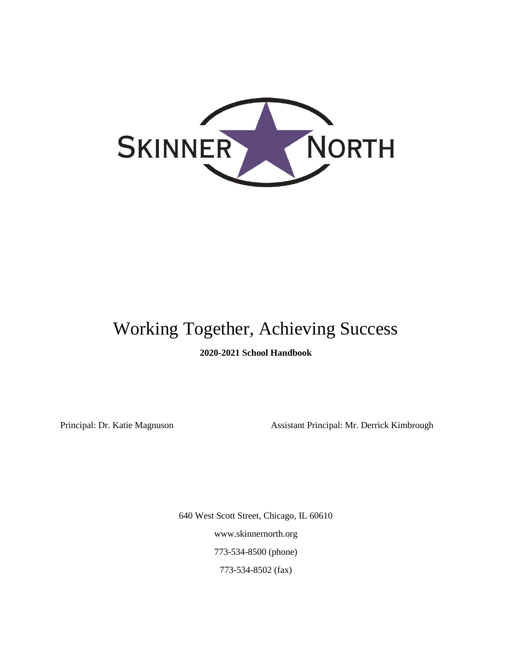

# Working Together, Achieving Success

**2020-2021 School Handbook**

Principal: Dr. Katie Magnuson Assistant Principal: Mr. Derrick Kimbrough

640 West Scott Street, Chicago, IL 60610 www.skinnernorth.org 773-534-8500 (phone) 773-534-8502 (fax)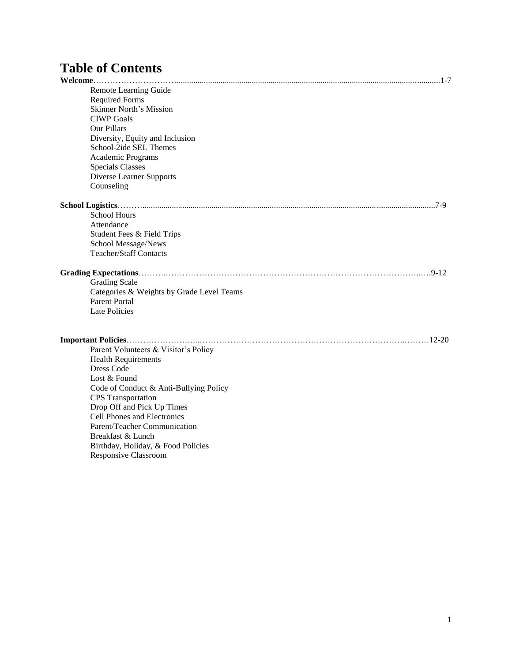## **Table of Contents**

| Remote Learning Guide                     |  |
|-------------------------------------------|--|
| <b>Required Forms</b>                     |  |
| <b>Skinner North's Mission</b>            |  |
| <b>CIWP</b> Goals                         |  |
| Our Pillars                               |  |
| Diversity, Equity and Inclusion           |  |
| School-2ide SEL Themes                    |  |
| Academic Programs                         |  |
| <b>Specials Classes</b>                   |  |
| Diverse Learner Supports                  |  |
| Counseling                                |  |
|                                           |  |
| <b>School Hours</b>                       |  |
| Attendance                                |  |
| Student Fees & Field Trips                |  |
| School Message/News                       |  |
| <b>Teacher/Staff Contacts</b>             |  |
|                                           |  |
| <b>Grading Scale</b>                      |  |
| Categories & Weights by Grade Level Teams |  |
| <b>Parent Portal</b>                      |  |
| Late Policies                             |  |
|                                           |  |
|                                           |  |
| Parent Volunteers & Visitor's Policy      |  |
| <b>Health Requirements</b>                |  |
| Dress Code                                |  |
| Lost & Found                              |  |
| Code of Conduct & Anti-Bullying Policy    |  |
| <b>CPS</b> Transportation                 |  |
| Drop Off and Pick Up Times                |  |
| Cell Phones and Electronics               |  |
| Parent/Teacher Communication              |  |
| Breakfast & Lunch                         |  |
| Birthday, Holiday, & Food Policies        |  |
| Responsive Classroom                      |  |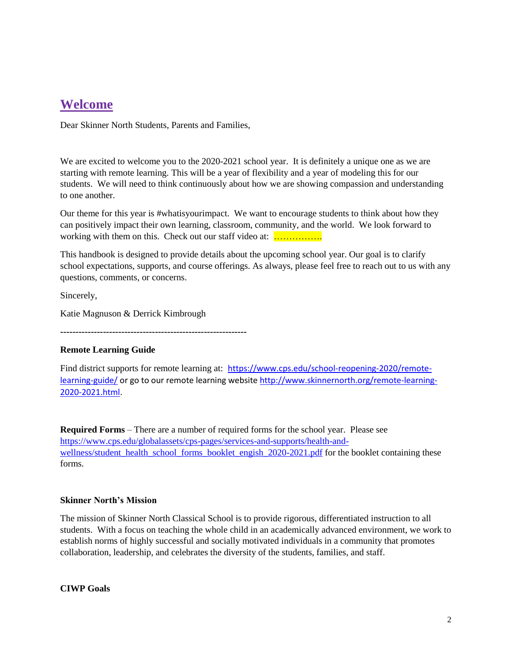## **Welcome**

Dear Skinner North Students, Parents and Families,

We are excited to welcome you to the 2020-2021 school year. It is definitely a unique one as we are starting with remote learning. This will be a year of flexibility and a year of modeling this for our students. We will need to think continuously about how we are showing compassion and understanding to one another.

Our theme for this year is #whatisyourimpact. We want to encourage students to think about how they can positively impact their own learning, classroom, community, and the world. We look forward to working with them on this. Check out our staff video at: .................

This handbook is designed to provide details about the upcoming school year. Our goal is to clarify school expectations, supports, and course offerings. As always, please feel free to reach out to us with any questions, comments, or concerns.

Sincerely,

Katie Magnuson & Derrick Kimbrough

**-------------------------------------------------------------**

#### **Remote Learning Guide**

Find district supports for remote learning at:[https://www.cps.edu/school-reopening-2020/remote](https://www.cps.edu/school-reopening-2020/remote-learning-guide/)[learning-guide/](https://www.cps.edu/school-reopening-2020/remote-learning-guide/) or go to our remote learning websit[e http://www.skinnernorth.org/remote-learning-](http://www.skinnernorth.org/remote-learning-2020-2021.html)[2020-2021.html.](http://www.skinnernorth.org/remote-learning-2020-2021.html)

**Required Forms** – There are a number of required forms for the school year. Please see [https://www.cps.edu/globalassets/cps-pages/services-and-supports/health-and](https://www.cps.edu/globalassets/cps-pages/services-and-supports/health-and-wellness/student_health_school_forms_booklet_engish_2020-2021.pdf)[wellness/student\\_health\\_school\\_forms\\_booklet\\_engish\\_2020-2021.pdf](https://www.cps.edu/globalassets/cps-pages/services-and-supports/health-and-wellness/student_health_school_forms_booklet_engish_2020-2021.pdf) for the booklet containing these forms.

#### **Skinner North's Mission**

The mission of Skinner North Classical School is to provide rigorous, differentiated instruction to all students. With a focus on teaching the whole child in an academically advanced environment, we work to establish norms of highly successful and socially motivated individuals in a community that promotes collaboration, leadership, and celebrates the diversity of the students, families, and staff.

**CIWP Goals**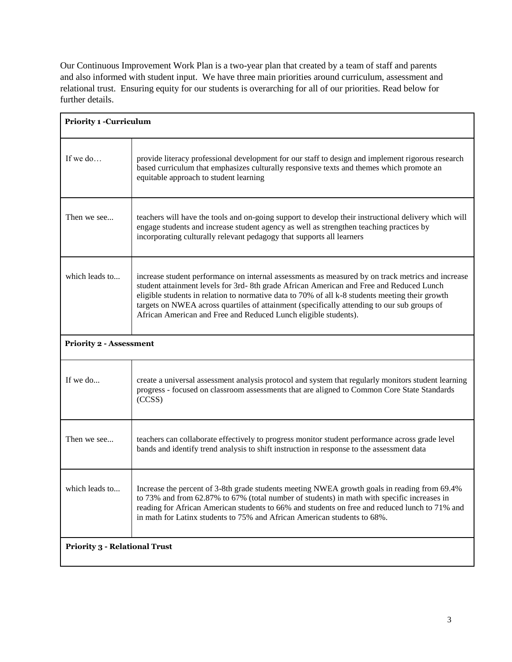Our Continuous Improvement Work Plan is a two-year plan that created by a team of staff and parents and also informed with student input. We have three main priorities around curriculum, assessment and relational trust. Ensuring equity for our students is overarching for all of our priorities. Read below for further details.

| <b>Priority 1 -Curriculum</b>        |                                                                                                                                                                                                                                                                                                                                                                                                                                                                   |  |  |  |
|--------------------------------------|-------------------------------------------------------------------------------------------------------------------------------------------------------------------------------------------------------------------------------------------------------------------------------------------------------------------------------------------------------------------------------------------------------------------------------------------------------------------|--|--|--|
| If we do                             | provide literacy professional development for our staff to design and implement rigorous research<br>based curriculum that emphasizes culturally responsive texts and themes which promote an<br>equitable approach to student learning                                                                                                                                                                                                                           |  |  |  |
| Then we see                          | teachers will have the tools and on-going support to develop their instructional delivery which will<br>engage students and increase student agency as well as strengthen teaching practices by<br>incorporating culturally relevant pedagogy that supports all learners                                                                                                                                                                                          |  |  |  |
| which leads to                       | increase student performance on internal assessments as measured by on track metrics and increase<br>student attainment levels for 3rd-8th grade African American and Free and Reduced Lunch<br>eligible students in relation to normative data to 70% of all k-8 students meeting their growth<br>targets on NWEA across quartiles of attainment (specifically attending to our sub groups of<br>African American and Free and Reduced Lunch eligible students). |  |  |  |
| <b>Priority 2 - Assessment</b>       |                                                                                                                                                                                                                                                                                                                                                                                                                                                                   |  |  |  |
| If we do                             | create a universal assessment analysis protocol and system that regularly monitors student learning<br>progress - focused on classroom assessments that are aligned to Common Core State Standards<br>(CCSS)                                                                                                                                                                                                                                                      |  |  |  |
| Then we see                          | teachers can collaborate effectively to progress monitor student performance across grade level<br>bands and identify trend analysis to shift instruction in response to the assessment data                                                                                                                                                                                                                                                                      |  |  |  |
| which leads to                       | Increase the percent of 3-8th grade students meeting NWEA growth goals in reading from 69.4%<br>to 73% and from 62.87% to 67% (total number of students) in math with specific increases in<br>reading for African American students to 66% and students on free and reduced lunch to 71% and<br>in math for Latinx students to 75% and African American students to 68%.                                                                                         |  |  |  |
| <b>Priority 3 - Relational Trust</b> |                                                                                                                                                                                                                                                                                                                                                                                                                                                                   |  |  |  |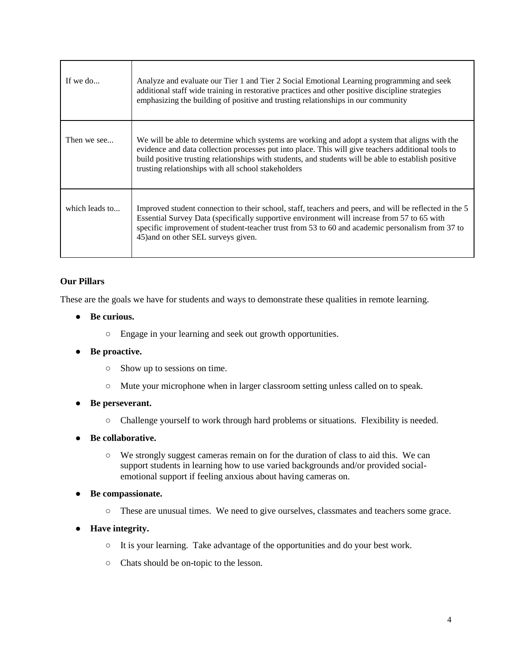| If we do       | Analyze and evaluate our Tier 1 and Tier 2 Social Emotional Learning programming and seek<br>additional staff wide training in restorative practices and other positive discipline strategies<br>emphasizing the building of positive and trusting relationships in our community                                                                                   |
|----------------|---------------------------------------------------------------------------------------------------------------------------------------------------------------------------------------------------------------------------------------------------------------------------------------------------------------------------------------------------------------------|
| Then we see    | We will be able to determine which systems are working and adopt a system that aligns with the<br>evidence and data collection processes put into place. This will give teachers additional tools to<br>build positive trusting relationships with students, and students will be able to establish positive<br>trusting relationships with all school stakeholders |
| which leads to | Improved student connection to their school, staff, teachers and peers, and will be reflected in the 5<br>Essential Survey Data (specifically supportive environment will increase from 57 to 65 with<br>specific improvement of student-teacher trust from 53 to 60 and academic personalism from 37 to<br>45) and on other SEL surveys given.                     |

#### **Our Pillars**

These are the goals we have for students and ways to demonstrate these qualities in remote learning.

- **Be curious.** 
	- Engage in your learning and seek out growth opportunities.
- **Be proactive.** 
	- Show up to sessions on time.
	- Mute your microphone when in larger classroom setting unless called on to speak.
- **Be perseverant.**
	- Challenge yourself to work through hard problems or situations. Flexibility is needed.
- **Be collaborative.**
	- We strongly suggest cameras remain on for the duration of class to aid this. We can support students in learning how to use varied backgrounds and/or provided socialemotional support if feeling anxious about having cameras on.
- **Be compassionate.**
	- These are unusual times. We need to give ourselves, classmates and teachers some grace.
- **Have integrity.**
	- It is your learning. Take advantage of the opportunities and do your best work.
	- Chats should be on-topic to the lesson.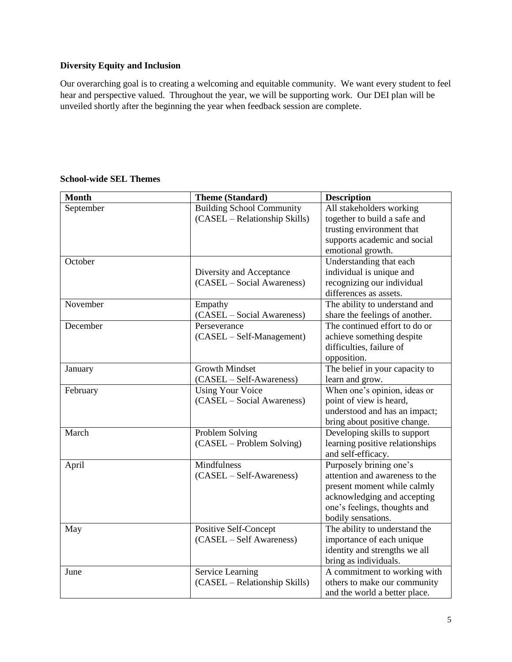#### **Diversity Equity and Inclusion**

Our overarching goal is to creating a welcoming and equitable community. We want every student to feel hear and perspective valued. Throughout the year, we will be supporting work. Our DEI plan will be unveiled shortly after the beginning the year when feedback session are complete.

| <b>Month</b> | <b>Theme (Standard)</b>          | <b>Description</b>              |
|--------------|----------------------------------|---------------------------------|
| September    | <b>Building School Community</b> | All stakeholders working        |
|              | (CASEL – Relationship Skills)    | together to build a safe and    |
|              |                                  | trusting environment that       |
|              |                                  | supports academic and social    |
|              |                                  | emotional growth.               |
| October      |                                  | Understanding that each         |
|              | Diversity and Acceptance         | individual is unique and        |
|              | (CASEL – Social Awareness)       | recognizing our individual      |
|              |                                  | differences as assets.          |
| November     | Empathy                          | The ability to understand and   |
|              | (CASEL – Social Awareness)       | share the feelings of another.  |
| December     | Perseverance                     | The continued effort to do or   |
|              | (CASEL - Self-Management)        | achieve something despite       |
|              |                                  | difficulties, failure of        |
|              |                                  | opposition.                     |
| January      | <b>Growth Mindset</b>            | The belief in your capacity to  |
|              | (CASEL – Self-Awareness)         | learn and grow.                 |
| February     | <b>Using Your Voice</b>          | When one's opinion, ideas or    |
|              | (CASEL – Social Awareness)       | point of view is heard,         |
|              |                                  | understood and has an impact;   |
|              |                                  | bring about positive change.    |
| March        | Problem Solving                  | Developing skills to support    |
|              | (CASEL – Problem Solving)        | learning positive relationships |
|              |                                  | and self-efficacy.              |
| April        | Mindfulness                      | Purposely brining one's         |
|              | $(CASEL - Self-Awareness)$       | attention and awareness to the  |
|              |                                  | present moment while calmly     |
|              |                                  | acknowledging and accepting     |
|              |                                  | one's feelings, thoughts and    |
|              |                                  | bodily sensations.              |
| May          | Positive Self-Concept            | The ability to understand the   |
|              | (CASEL – Self Awareness)         | importance of each unique       |
|              |                                  | identity and strengths we all   |
|              |                                  | bring as individuals.           |
| June         | Service Learning                 | A commitment to working with    |
|              | (CASEL - Relationship Skills)    | others to make our community    |
|              |                                  | and the world a better place.   |

#### **School-wide SEL Themes**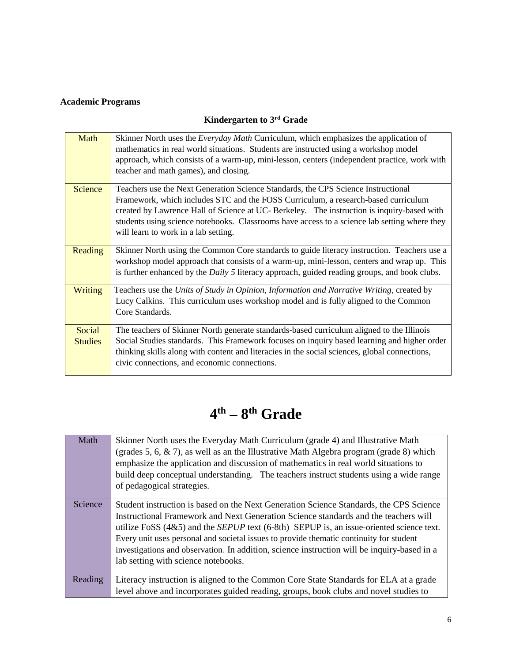#### **Academic Programs**

### **Kindergarten to 3rd Grade**

| Math                     | Skinner North uses the <i>Everyday Math</i> Curriculum, which emphasizes the application of<br>mathematics in real world situations. Students are instructed using a workshop model<br>approach, which consists of a warm-up, mini-lesson, centers (independent practice, work with<br>teacher and math games), and closing.                                                                                  |
|--------------------------|---------------------------------------------------------------------------------------------------------------------------------------------------------------------------------------------------------------------------------------------------------------------------------------------------------------------------------------------------------------------------------------------------------------|
| Science                  | Teachers use the Next Generation Science Standards, the CPS Science Instructional<br>Framework, which includes STC and the FOSS Curriculum, a research-based curriculum<br>created by Lawrence Hall of Science at UC- Berkeley. The instruction is inquiry-based with<br>students using science notebooks. Classrooms have access to a science lab setting where they<br>will learn to work in a lab setting. |
| Reading                  | Skinner North using the Common Core standards to guide literacy instruction. Teachers use a<br>workshop model approach that consists of a warm-up, mini-lesson, centers and wrap up. This<br>is further enhanced by the <i>Daily</i> $5$ literacy approach, guided reading groups, and book clubs.                                                                                                            |
| Writing                  | Teachers use the Units of Study in Opinion, Information and Narrative Writing, created by<br>Lucy Calkins. This curriculum uses workshop model and is fully aligned to the Common<br>Core Standards.                                                                                                                                                                                                          |
| Social<br><b>Studies</b> | The teachers of Skinner North generate standards-based curriculum aligned to the Illinois<br>Social Studies standards. This Framework focuses on inquiry based learning and higher order<br>thinking skills along with content and literacies in the social sciences, global connections,<br>civic connections, and economic connections.                                                                     |

## **4 th – 8 th Grade**

| Math    | Skinner North uses the Everyday Math Curriculum (grade 4) and Illustrative Math<br>(grades 5, 6, $\&$ 7), as well as an the Illustrative Math Algebra program (grade 8) which<br>emphasize the application and discussion of mathematics in real world situations to<br>build deep conceptual understanding. The teachers instruct students using a wide range<br>of pedagogical strategies.                                                                                                                         |  |
|---------|----------------------------------------------------------------------------------------------------------------------------------------------------------------------------------------------------------------------------------------------------------------------------------------------------------------------------------------------------------------------------------------------------------------------------------------------------------------------------------------------------------------------|--|
| Science | Student instruction is based on the Next Generation Science Standards, the CPS Science<br>Instructional Framework and Next Generation Science standards and the teachers will<br>utilize FoSS $(4&5)$ and the <i>SEPUP</i> text $(6-8th)$ SEPUP is, an issue-oriented science text.<br>Every unit uses personal and societal issues to provide thematic continuity for student<br>investigations and observation. In addition, science instruction will be inquiry-based in a<br>lab setting with science notebooks. |  |
| Reading | Literacy instruction is aligned to the Common Core State Standards for ELA at a grade<br>level above and incorporates guided reading, groups, book clubs and novel studies to                                                                                                                                                                                                                                                                                                                                        |  |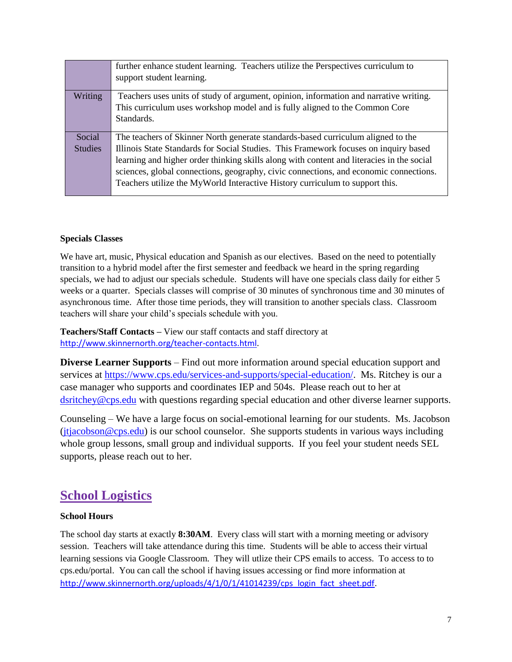|                | further enhance student learning. Teachers utilize the Perspectives curriculum to<br>support student learning. |  |  |  |  |  |
|----------------|----------------------------------------------------------------------------------------------------------------|--|--|--|--|--|
| Writing        | Teachers uses units of study of argument, opinion, information and narrative writing.                          |  |  |  |  |  |
|                | This curriculum uses workshop model and is fully aligned to the Common Core                                    |  |  |  |  |  |
|                | Standards.                                                                                                     |  |  |  |  |  |
|                |                                                                                                                |  |  |  |  |  |
| Social         | The teachers of Skinner North generate standards-based curriculum aligned to the                               |  |  |  |  |  |
| <b>Studies</b> | Illinois State Standards for Social Studies. This Framework focuses on inquiry based                           |  |  |  |  |  |
|                | learning and higher order thinking skills along with content and literacies in the social                      |  |  |  |  |  |
|                | sciences, global connections, geography, civic connections, and economic connections.                          |  |  |  |  |  |
|                | Teachers utilize the MyWorld Interactive History curriculum to support this.                                   |  |  |  |  |  |
|                |                                                                                                                |  |  |  |  |  |

#### **Specials Classes**

We have art, music, Physical education and Spanish as our electives. Based on the need to potentially transition to a hybrid model after the first semester and feedback we heard in the spring regarding specials, we had to adjust our specials schedule. Students will have one specials class daily for either 5 weeks or a quarter. Specials classes will comprise of 30 minutes of synchronous time and 30 minutes of asynchronous time. After those time periods, they will transition to another specials class. Classroom teachers will share your child's specials schedule with you.

**Teachers/Staff Contacts –** View our staff contacts and staff directory at [http://www.skinnernorth.org/teacher-contacts.html.](http://www.skinnernorth.org/teacher-contacts.html)

**Diverse Learner Supports** – Find out more information around special education support and services at [https://www.cps.edu/services-and-supports/special-education/.](https://www.cps.edu/services-and-supports/special-education/) Ms. Ritchey is our a case manager who supports and coordinates IEP and 504s. Please reach out to her at [dsritchey@cps.edu](mailto:dsritchey@cps.edu) with questions regarding special education and other diverse learner supports.

Counseling – We have a large focus on social-emotional learning for our students. Ms. Jacobson  $(jtiacobson@cps.edu)$  is our school counselor. She supports students in various ways including whole group lessons, small group and individual supports. If you feel your student needs SEL supports, please reach out to her.

### **School Logistics**

#### **School Hours**

The school day starts at exactly **8:30AM**. Every class will start with a morning meeting or advisory session. Teachers will take attendance during this time. Students will be able to access their virtual learning sessions via Google Classroom. They will utlize their CPS emails to access. To access to to cps.edu/portal. You can call the school if having issues accessing or find more information at [http://www.skinnernorth.org/uploads/4/1/0/1/41014239/cps\\_login\\_fact\\_sheet.pdf.](http://www.skinnernorth.org/uploads/4/1/0/1/41014239/cps_login_fact_sheet.pdf)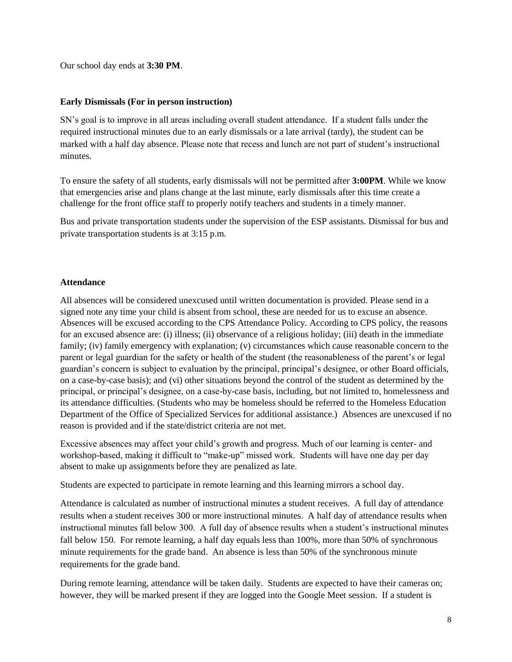Our school day ends at **3:30 PM**.

#### **Early Dismissals (For in person instruction)**

SN's goal is to improve in all areas including overall student attendance. If a student falls under the required instructional minutes due to an early dismissals or a late arrival (tardy), the student can be marked with a half day absence. Please note that recess and lunch are not part of student's instructional minutes.

To ensure the safety of all students, early dismissals will not be permitted after **3:00PM**. While we know that emergencies arise and plans change at the last minute, early dismissals after this time create a challenge for the front office staff to properly notify teachers and students in a timely manner.

Bus and private transportation students under the supervision of the ESP assistants. Dismissal for bus and private transportation students is at 3:15 p.m.

#### **Attendance**

All absences will be considered unexcused until written documentation is provided. Please send in a signed note any time your child is absent from school, these are needed for us to excuse an absence. Absences will be excused according to the CPS Attendance Policy. According to CPS policy, the reasons for an excused absence are: (i) illness; (ii) observance of a religious holiday; (iii) death in the immediate family; (iv) family emergency with explanation; (v) circumstances which cause reasonable concern to the parent or legal guardian for the safety or health of the student (the reasonableness of the parent's or legal guardian's concern is subject to evaluation by the principal, principal's designee, or other Board officials, on a case-by-case basis); and (vi) other situations beyond the control of the student as determined by the principal, or principal's designee, on a case-by-case basis, including, but not limited to, homelessness and its attendance difficulties. (Students who may be homeless should be referred to the Homeless Education Department of the Office of Specialized Services for additional assistance.) Absences are unexcused if no reason is provided and if the state/district criteria are not met.

Excessive absences may affect your child's growth and progress. Much of our learning is center- and workshop-based, making it difficult to "make-up" missed work. Students will have one day per day absent to make up assignments before they are penalized as late.

Students are expected to participate in remote learning and this learning mirrors a school day.

Attendance is calculated as number of instructional minutes a student receives. A full day of attendance results when a student receives 300 or more instructional minutes. A half day of attendance results when instructional minutes fall below 300. A full day of absence results when a student's instructional minutes fall below 150. For remote learning, a half day equals less than 100%, more than 50% of synchronous minute requirements for the grade band. An absence is less than 50% of the synchronous minute requirements for the grade band.

During remote learning, attendance will be taken daily. Students are expected to have their cameras on; however, they will be marked present if they are logged into the Google Meet session. If a student is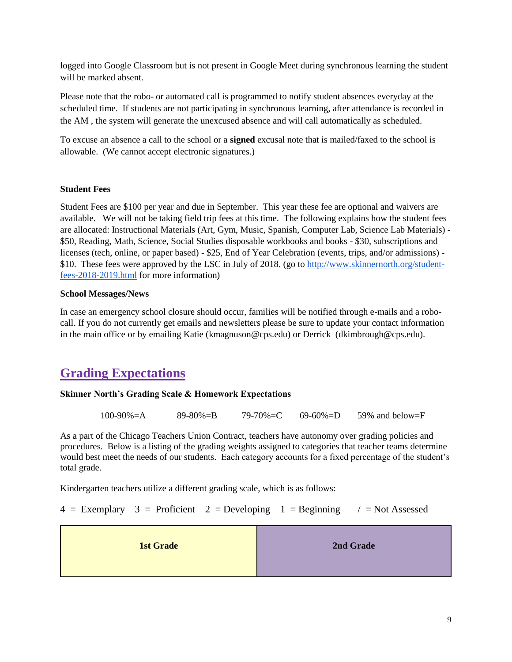logged into Google Classroom but is not present in Google Meet during synchronous learning the student will be marked absent.

Please note that the robo- or automated call is programmed to notify student absences everyday at the scheduled time. If students are not participating in synchronous learning, after attendance is recorded in the AM , the system will generate the unexcused absence and will call automatically as scheduled.

To excuse an absence a call to the school or a **signed** excusal note that is mailed/faxed to the school is allowable. (We cannot accept electronic signatures.)

#### **Student Fees**

Student Fees are \$100 per year and due in September. This year these fee are optional and waivers are available. We will not be taking field trip fees at this time. The following explains how the student fees are allocated: Instructional Materials (Art, Gym, Music, Spanish, Computer Lab, Science Lab Materials) - \$50, Reading, Math, Science, Social Studies disposable workbooks and books - \$30, subscriptions and licenses (tech, online, or paper based) - \$25, End of Year Celebration (events, trips, and/or admissions) - \$10. These fees were approved by the LSC in July of 2018. (go to [http://www.skinnernorth.org/student](http://www.skinnernorth.org/student-fees-2018-2019.html)[fees-2018-2019.html](http://www.skinnernorth.org/student-fees-2018-2019.html) for more information)

#### **School Messages/News**

In case an emergency school closure should occur, families will be notified through e-mails and a robocall. If you do not currently get emails and newsletters please be sure to update your contact information in the main office or by emailing Katie (kmagnuson@cps.edu) or Derrick (dkimbrough@cps.edu).

## **Grading Expectations**

#### **Skinner North's Grading Scale & Homework Expectations**

| $100-90% = A$ | $89 - 80\% = B$ | 79-70%=C | $69 - 60\% = D$ | 59% and below= $F$ |
|---------------|-----------------|----------|-----------------|--------------------|
|               |                 |          |                 |                    |

As a part of the Chicago Teachers Union Contract, teachers have autonomy over grading policies and procedures. Below is a listing of the grading weights assigned to categories that teacher teams determine would best meet the needs of our students. Each category accounts for a fixed percentage of the student's total grade.

Kindergarten teachers utilize a different grading scale, which is as follows:

 $4 =$  Exemplary  $3 =$  Proficient  $2 =$  Developing  $1 =$  Beginning  $\ell =$  Not Assessed

| <b>1st Grade</b> | 2nd Grade |
|------------------|-----------|
|------------------|-----------|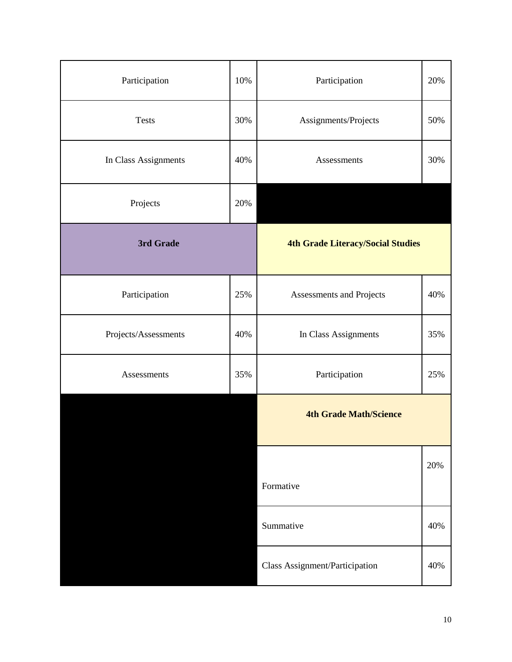| Participation        | 10%       | Participation                            |     |
|----------------------|-----------|------------------------------------------|-----|
| <b>Tests</b>         | 30%       | Assignments/Projects                     | 50% |
| In Class Assignments | 40%       | Assessments                              | 30% |
| Projects             | 20%       |                                          |     |
| 3rd Grade            |           | <b>4th Grade Literacy/Social Studies</b> |     |
| Participation        | 25%       | Assessments and Projects                 | 40% |
| Projects/Assessments | 40%       | In Class Assignments                     | 35% |
| Assessments          | 35%       | Participation                            |     |
|                      |           | <b>4th Grade Math/Science</b>            |     |
|                      |           | Formative                                | 20% |
|                      | Summative |                                          | 40% |
|                      |           | Class Assignment/Participation           | 40% |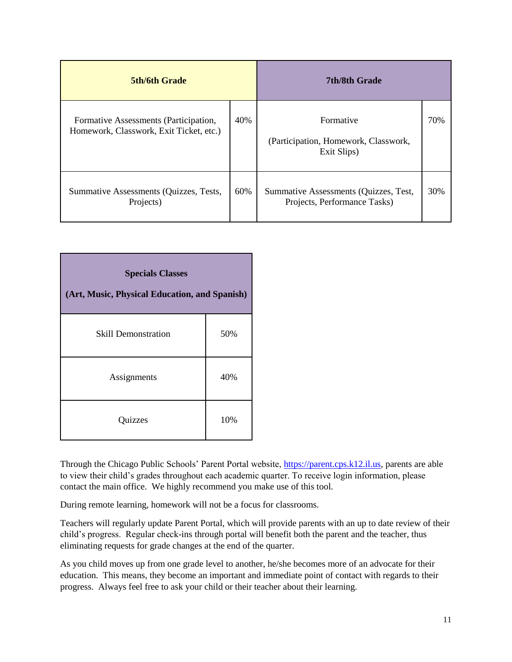| <b>5th/6th Grade</b>                                                             |     | <b>7th/8th Grade</b>                                                  |     |
|----------------------------------------------------------------------------------|-----|-----------------------------------------------------------------------|-----|
| Formative Assessments (Participation,<br>Homework, Classwork, Exit Ticket, etc.) | 40% | Formative<br>(Participation, Homework, Classwork,<br>Exit Slips)      | 70% |
| Summative Assessments (Quizzes, Tests,<br>Projects)                              | 60% | Summative Assessments (Quizzes, Test,<br>Projects, Performance Tasks) | 30% |

| <b>Specials Classes</b><br>(Art, Music, Physical Education, and Spanish) |     |  |
|--------------------------------------------------------------------------|-----|--|
| <b>Skill Demonstration</b>                                               | 50% |  |
| Assignments                                                              | 40% |  |
| Quizzes                                                                  | 10% |  |

Through the Chicago Public Schools' Parent Portal website, [https://parent.cps.k12.il.us,](https://parent.cps.k12.il.us/) parents are able to view their child's grades throughout each academic quarter. To receive login information, please contact the main office. We highly recommend you make use of this tool.

During remote learning, homework will not be a focus for classrooms.

Teachers will regularly update Parent Portal, which will provide parents with an up to date review of their child's progress. Regular check-ins through portal will benefit both the parent and the teacher, thus eliminating requests for grade changes at the end of the quarter.

As you child moves up from one grade level to another, he/she becomes more of an advocate for their education. This means, they become an important and immediate point of contact with regards to their progress. Always feel free to ask your child or their teacher about their learning.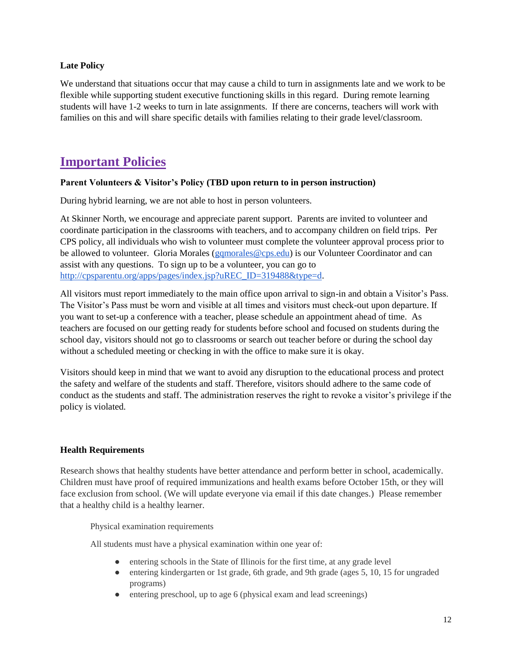#### **Late Policy**

We understand that situations occur that may cause a child to turn in assignments late and we work to be flexible while supporting student executive functioning skills in this regard. During remote learning students will have 1-2 weeks to turn in late assignments. If there are concerns, teachers will work with families on this and will share specific details with families relating to their grade level/classroom.

## **Important Policies**

#### **Parent Volunteers & Visitor's Policy (TBD upon return to in person instruction)**

During hybrid learning, we are not able to host in person volunteers.

At Skinner North, we encourage and appreciate parent support. Parents are invited to volunteer and coordinate participation in the classrooms with teachers, and to accompany children on field trips. Per CPS policy, all individuals who wish to volunteer must complete the volunteer approval process prior to be allowed to volunteer. Gloria Morales [\(gqmorales@cps.edu\)](mailto:gqmorales@cps.edu) is our Volunteer Coordinator and can assist with any questions. To sign up to be a volunteer, you can go to [http://cpsparentu.org/apps/pages/index.jsp?uREC\\_ID=319488&type=d.](http://cpsparentu.org/apps/pages/index.jsp?uREC_ID=319488&type=d)

All visitors must report immediately to the main office upon arrival to sign-in and obtain a Visitor's Pass. The Visitor's Pass must be worn and visible at all times and visitors must check-out upon departure. If you want to set-up a conference with a teacher, please schedule an appointment ahead of time. As teachers are focused on our getting ready for students before school and focused on students during the school day, visitors should not go to classrooms or search out teacher before or during the school day without a scheduled meeting or checking in with the office to make sure it is okay.

Visitors should keep in mind that we want to avoid any disruption to the educational process and protect the safety and welfare of the students and staff. Therefore, visitors should adhere to the same code of conduct as the students and staff. The administration reserves the right to revoke a visitor's privilege if the policy is violated.

#### **Health Requirements**

Research shows that healthy students have better attendance and perform better in school, academically. Children must have proof of required immunizations and health exams before October 15th, or they will face exclusion from school. (We will update everyone via email if this date changes.) Please remember that a healthy child is a healthy learner.

Physical examination requirements

All students must have a physical examination within one year of:

- entering schools in the State of Illinois for the first time, at any grade level
- entering kindergarten or 1st grade, 6th grade, and 9th grade (ages 5, 10, 15 for ungraded programs)
- entering preschool, up to age 6 (physical exam and lead screenings)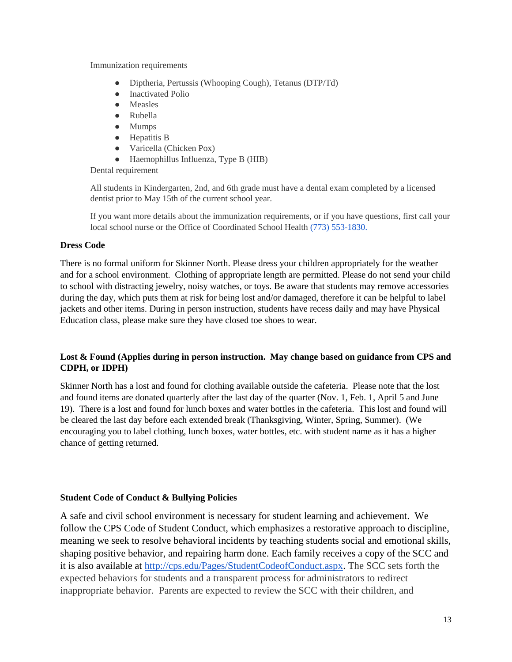Immunization requirements

- Diptheria, Pertussis (Whooping Cough), Tetanus (DTP/Td)
- Inactivated Polio
- Measles
- Rubella
- Mumps
- Hepatitis B
- Varicella (Chicken Pox)
- Haemophillus Influenza, Type B (HIB)

Dental requirement

All students in Kindergarten, 2nd, and 6th grade must have a dental exam completed by a licensed dentist prior to May 15th of the current school year.

If you want more details about the immunization requirements, or if you have questions, first call your local school nurse or the Office of Coordinated School Health (773) 553-1830.

#### **Dress Code**

There is no formal uniform for Skinner North. Please dress your children appropriately for the weather and for a school environment. Clothing of appropriate length are permitted. Please do not send your child to school with distracting jewelry, noisy watches, or toys. Be aware that students may remove accessories during the day, which puts them at risk for being lost and/or damaged, therefore it can be helpful to label jackets and other items. During in person instruction, students have recess daily and may have Physical Education class, please make sure they have closed toe shoes to wear.

#### **Lost & Found (Applies during in person instruction. May change based on guidance from CPS and CDPH, or IDPH)**

Skinner North has a lost and found for clothing available outside the cafeteria. Please note that the lost and found items are donated quarterly after the last day of the quarter (Nov. 1, Feb. 1, April 5 and June 19). There is a lost and found for lunch boxes and water bottles in the cafeteria. This lost and found will be cleared the last day before each extended break (Thanksgiving, Winter, Spring, Summer). (We encouraging you to label clothing, lunch boxes, water bottles, etc. with student name as it has a higher chance of getting returned.

#### **Student Code of Conduct & Bullying Policies**

A safe and civil school environment is necessary for student learning and achievement. We follow the CPS Code of Student Conduct, which emphasizes a restorative approach to discipline, meaning we seek to resolve behavioral incidents by teaching students social and emotional skills, shaping positive behavior, and repairing harm done. Each family receives a copy of the SCC and it is also available at [http://cps.edu/Pages/StudentCodeofConduct.aspx.](http://cps.edu/Pages/StudentCodeofConduct.aspx) The SCC sets forth the expected behaviors for students and a transparent process for administrators to redirect inappropriate behavior. Parents are expected to review the SCC with their children, and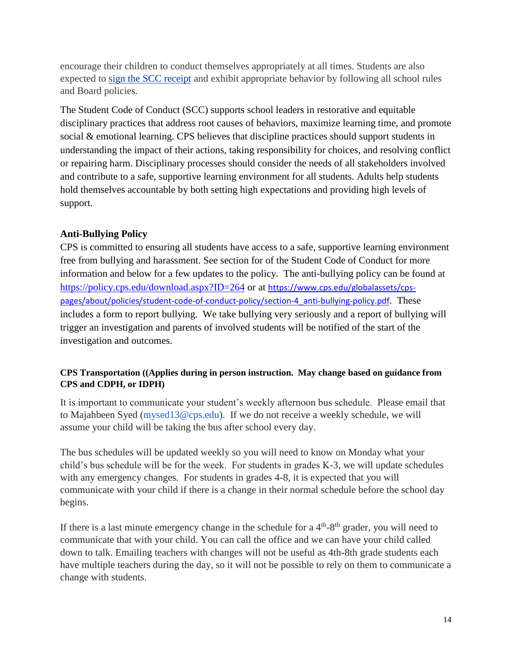encourage their children to conduct themselves appropriately at all times. Students are also expected to [sign the SCC receipt](http://cps.edu/SiteCollectionDocuments/SCC_AcknowledgementReceipt.pdf) and exhibit appropriate behavior by following all school rules and Board policies.

The Student Code of Conduct (SCC) supports school leaders in restorative and equitable disciplinary practices that address root causes of behaviors, maximize learning time, and promote social & emotional learning. CPS believes that discipline practices should support students in understanding the impact of their actions, taking responsibility for choices, and resolving conflict or repairing harm. Disciplinary processes should consider the needs of all stakeholders involved and contribute to a safe, supportive learning environment for all students. Adults help students hold themselves accountable by both setting high expectations and providing high levels of support.

#### **Anti-Bullying Policy**

CPS is committed to ensuring all students have access to a safe, supportive learning environment free from bullying and harassment. See section for of the Student Code of Conduct for more information and below for a few updates to the policy. The anti-bullying policy can be found at <https://policy.cps.edu/download.aspx?ID=264> or at [https://www.cps.edu/globalassets/cps](https://www.cps.edu/globalassets/cps-pages/about/policies/student-code-of-conduct-policy/section-4_anti-bullying-policy.pdf)[pages/about/policies/student-code-of-conduct-policy/section-4\\_anti-bullying-policy.pdf](https://www.cps.edu/globalassets/cps-pages/about/policies/student-code-of-conduct-policy/section-4_anti-bullying-policy.pdf). These includes a form to report bullying. We take bullying very seriously and a report of bullying will trigger an investigation and parents of involved students will be notified of the start of the investigation and outcomes.

#### **CPS Transportation ((Applies during in person instruction. May change based on guidance from CPS and CDPH, or IDPH)**

It is important to communicate your student's weekly afternoon bus schedule. Please email that to Majahbeen Syed (mysed13@cps.edu). If we do not receive a weekly schedule, we will assume your child will be taking the bus after school every day.

The bus schedules will be updated weekly so you will need to know on Monday what your child's bus schedule will be for the week. For students in grades K-3, we will update schedules with any emergency changes. For students in grades 4-8, it is expected that you will communicate with your child if there is a change in their normal schedule before the school day begins.

If there is a last minute emergency change in the schedule for a  $4<sup>th</sup>$ -8<sup>th</sup> grader, you will need to communicate that with your child. You can call the office and we can have your child called down to talk. Emailing teachers with changes will not be useful as 4th-8th grade students each have multiple teachers during the day, so it will not be possible to rely on them to communicate a change with students.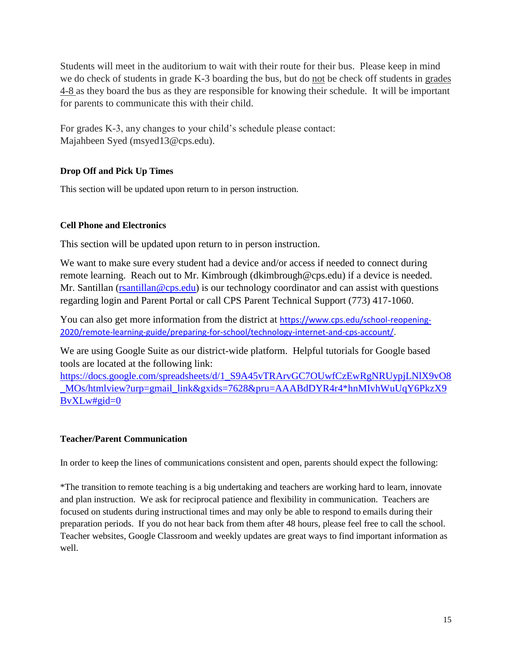Students will meet in the auditorium to wait with their route for their bus. Please keep in mind we do check of students in grade K-3 boarding the bus, but do not be check off students in grades 4-8 as they board the bus as they are responsible for knowing their schedule. It will be important for parents to communicate this with their child.

For grades K-3, any changes to your child's schedule please contact: Majahbeen Syed (msyed13@cps.edu).

#### **Drop Off and Pick Up Times**

This section will be updated upon return to in person instruction.

#### **Cell Phone and Electronics**

This section will be updated upon return to in person instruction.

We want to make sure every student had a device and/or access if needed to connect during remote learning. Reach out to Mr. Kimbrough (dkimbrough@cps.edu) if a device is needed. Mr. Santillan [\(rsantillan@cps.edu\)](mailto:rsantillan@cps.edu) is our technology coordinator and can assist with questions regarding login and Parent Portal or call CPS Parent Technical Support (773) 417-1060.

You can also get more information from the district at [https://www.cps.edu/school-reopening-](https://www.cps.edu/school-reopening-2020/remote-learning-guide/preparing-for-school/technology-internet-and-cps-account/)[2020/remote-learning-guide/preparing-for-school/technology-internet-and-cps-account/.](https://www.cps.edu/school-reopening-2020/remote-learning-guide/preparing-for-school/technology-internet-and-cps-account/)

We are using Google Suite as our district-wide platform. Helpful tutorials for Google based tools are located at the following link:

[https://docs.google.com/spreadsheets/d/1\\_S9A45vTRArvGC7OUwfCzEwRgNRUypjLNlX9vO8](https://docs.google.com/spreadsheets/d/1_S9A45vTRArvGC7OUwfCzEwRgNRUypjLNlX9vO8_MOs/htmlview?urp=gmail_link&gxids=7628&pru=AAABdDYR4r4*hnMIvhWuUqY6PkzX9BvXLw) [\\_MOs/htmlview?urp=gmail\\_link&gxids=7628&pru=AAABdDYR4r4\\*hnMIvhWuUqY6PkzX9](https://docs.google.com/spreadsheets/d/1_S9A45vTRArvGC7OUwfCzEwRgNRUypjLNlX9vO8_MOs/htmlview?urp=gmail_link&gxids=7628&pru=AAABdDYR4r4*hnMIvhWuUqY6PkzX9BvXLw) [BvXLw#gid=0](https://docs.google.com/spreadsheets/d/1_S9A45vTRArvGC7OUwfCzEwRgNRUypjLNlX9vO8_MOs/htmlview?urp=gmail_link&gxids=7628&pru=AAABdDYR4r4*hnMIvhWuUqY6PkzX9BvXLw)

#### **Teacher/Parent Communication**

In order to keep the lines of communications consistent and open, parents should expect the following:

\*The transition to remote teaching is a big undertaking and teachers are working hard to learn, innovate and plan instruction. We ask for reciprocal patience and flexibility in communication. Teachers are focused on students during instructional times and may only be able to respond to emails during their preparation periods. If you do not hear back from them after 48 hours, please feel free to call the school. Teacher websites, Google Classroom and weekly updates are great ways to find important information as well.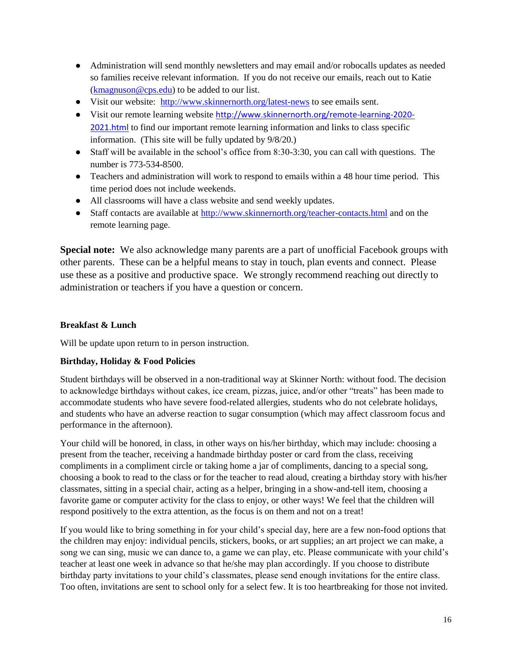- Administration will send monthly newsletters and may email and/or robocalls updates as needed so families receive relevant information. If you do not receive our emails, reach out to Katie  $(k$ magnuson@cps.edu) to be added to our list.
- Visit our website:<http://www.skinnernorth.org/latest-news> to see emails sent.
- Visit our remote learning website [http://www.skinnernorth.org/remote-learning-2020-](http://www.skinnernorth.org/remote-learning-2020-2021.html) [2021.html](http://www.skinnernorth.org/remote-learning-2020-2021.html) to find our important remote learning information and links to class specific information. (This site will be fully updated by 9/8/20.)
- Staff will be available in the school's office from 8:30-3:30, you can call with questions. The number is 773-534-8500.
- Teachers and administration will work to respond to emails within a 48 hour time period. This time period does not include weekends.
- All classrooms will have a class website and send weekly updates.
- Staff contacts are available at<http://www.skinnernorth.org/teacher-contacts.html> and on the remote learning page.

**Special note:** We also acknowledge many parents are a part of unofficial Facebook groups with other parents. These can be a helpful means to stay in touch, plan events and connect. Please use these as a positive and productive space. We strongly recommend reaching out directly to administration or teachers if you have a question or concern.

#### **Breakfast & Lunch**

Will be update upon return to in person instruction.

#### **Birthday, Holiday & Food Policies**

Student birthdays will be observed in a non-traditional way at Skinner North: without food. The decision to acknowledge birthdays without cakes, ice cream, pizzas, juice, and/or other "treats" has been made to accommodate students who have severe food-related allergies, students who do not celebrate holidays, and students who have an adverse reaction to sugar consumption (which may affect classroom focus and performance in the afternoon).

Your child will be honored, in class, in other ways on his/her birthday, which may include: choosing a present from the teacher, receiving a handmade birthday poster or card from the class, receiving compliments in a compliment circle or taking home a jar of compliments, dancing to a special song, choosing a book to read to the class or for the teacher to read aloud, creating a birthday story with his/her classmates, sitting in a special chair, acting as a helper, bringing in a show-and-tell item, choosing a favorite game or computer activity for the class to enjoy, or other ways! We feel that the children will respond positively to the extra attention, as the focus is on them and not on a treat!

If you would like to bring something in for your child's special day, here are a few non-food options that the children may enjoy: individual pencils, stickers, books, or art supplies; an art project we can make, a song we can sing, music we can dance to, a game we can play, etc. Please communicate with your child's teacher at least one week in advance so that he/she may plan accordingly. If you choose to distribute birthday party invitations to your child's classmates, please send enough invitations for the entire class. Too often, invitations are sent to school only for a select few. It is too heartbreaking for those not invited.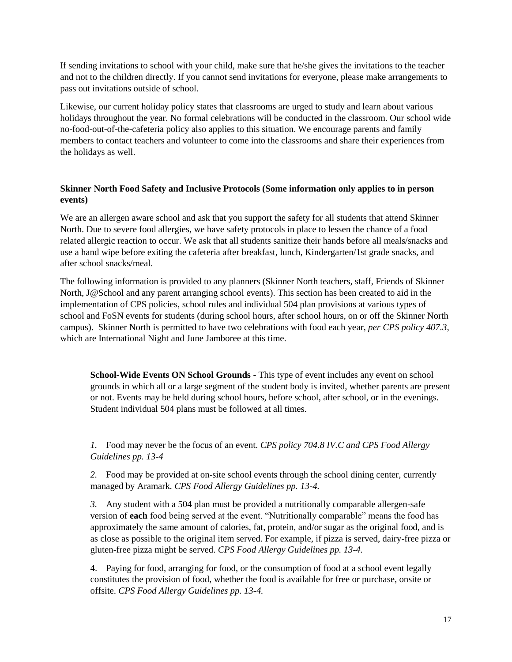If sending invitations to school with your child, make sure that he/she gives the invitations to the teacher and not to the children directly. If you cannot send invitations for everyone, please make arrangements to pass out invitations outside of school.

Likewise, our current holiday policy states that classrooms are urged to study and learn about various holidays throughout the year. No formal celebrations will be conducted in the classroom. Our school wide no-food-out-of-the-cafeteria policy also applies to this situation. We encourage parents and family members to contact teachers and volunteer to come into the classrooms and share their experiences from the holidays as well.

#### **Skinner North Food Safety and Inclusive Protocols (Some information only applies to in person events)**

We are an allergen aware school and ask that you support the safety for all students that attend Skinner North. Due to severe food allergies, we have safety protocols in place to lessen the chance of a food related allergic reaction to occur. We ask that all students sanitize their hands before all meals/snacks and use a hand wipe before exiting the cafeteria after breakfast, lunch, Kindergarten/1st grade snacks, and after school snacks/meal.

The following information is provided to any planners (Skinner North teachers, staff, Friends of Skinner North, J@School and any parent arranging school events). This section has been created to aid in the implementation of CPS policies, school rules and individual 504 plan provisions at various types of school and FoSN events for students (during school hours, after school hours, on or off the Skinner North campus). Skinner North is permitted to have two celebrations with food each year, *per CPS policy 407.3*, which are International Night and June Jamboree at this time.

**School-Wide Events ON School Grounds -** This type of event includes any event on school grounds in which all or a large segment of the student body is invited, whether parents are present or not. Events may be held during school hours, before school, after school, or in the evenings. Student individual 504 plans must be followed at all times.

*1.* Food may never be the focus of an event. *CPS policy 704.8 IV.C and CPS Food Allergy Guidelines pp. 13-4*

*2.* Food may be provided at on-site school events through the school dining center, currently managed by Aramark. *CPS Food Allergy Guidelines pp. 13-4.*

*3.* Any student with a 504 plan must be provided a nutritionally comparable allergen-safe version of **each** food being served at the event. "Nutritionally comparable" means the food has approximately the same amount of calories, fat, protein, and/or sugar as the original food, and is as close as possible to the original item served. For example, if pizza is served, dairy-free pizza or gluten-free pizza might be served. *CPS Food Allergy Guidelines pp. 13-4.*

4. Paying for food, arranging for food, or the consumption of food at a school event legally constitutes the provision of food, whether the food is available for free or purchase, onsite or offsite. *CPS Food Allergy Guidelines pp. 13-4.*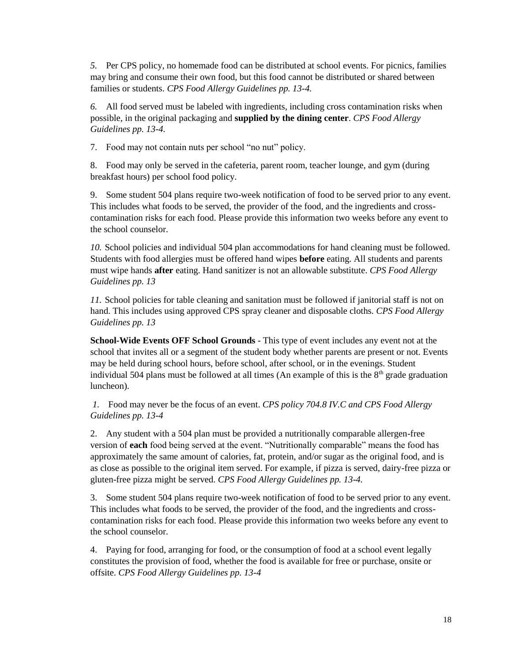*5.* Per CPS policy, no homemade food can be distributed at school events. For picnics, families may bring and consume their own food, but this food cannot be distributed or shared between families or students. *CPS Food Allergy Guidelines pp. 13-4.*

*6.* All food served must be labeled with ingredients, including cross contamination risks when possible, in the original packaging and **supplied by the dining center**. *CPS Food Allergy Guidelines pp. 13-4.*

7. Food may not contain nuts per school "no nut" policy.

8. Food may only be served in the cafeteria, parent room, teacher lounge, and gym (during breakfast hours) per school food policy.

9. Some student 504 plans require two-week notification of food to be served prior to any event. This includes what foods to be served, the provider of the food, and the ingredients and crosscontamination risks for each food. Please provide this information two weeks before any event to the school counselor.

*10.* School policies and individual 504 plan accommodations for hand cleaning must be followed. Students with food allergies must be offered hand wipes **before** eating. All students and parents must wipe hands **after** eating. Hand sanitizer is not an allowable substitute. *CPS Food Allergy Guidelines pp. 13*

*11.* School policies for table cleaning and sanitation must be followed if janitorial staff is not on hand. This includes using approved CPS spray cleaner and disposable cloths. *CPS Food Allergy Guidelines pp. 13*

**School-Wide Events OFF School Grounds** - This type of event includes any event not at the school that invites all or a segment of the student body whether parents are present or not. Events may be held during school hours, before school, after school, or in the evenings. Student individual 504 plans must be followed at all times (An example of this is the  $8<sup>th</sup>$  grade graduation luncheon).

*1.* Food may never be the focus of an event. *CPS policy 704.8 IV.C and CPS Food Allergy Guidelines pp. 13-4*

2. Any student with a 504 plan must be provided a nutritionally comparable allergen-free version of **each** food being served at the event. "Nutritionally comparable" means the food has approximately the same amount of calories, fat, protein, and/or sugar as the original food, and is as close as possible to the original item served. For example, if pizza is served, dairy-free pizza or gluten-free pizza might be served. *CPS Food Allergy Guidelines pp. 13-4.*

3. Some student 504 plans require two-week notification of food to be served prior to any event. This includes what foods to be served, the provider of the food, and the ingredients and crosscontamination risks for each food. Please provide this information two weeks before any event to the school counselor.

4. Paying for food, arranging for food, or the consumption of food at a school event legally constitutes the provision of food, whether the food is available for free or purchase, onsite or offsite. *CPS Food Allergy Guidelines pp. 13-4*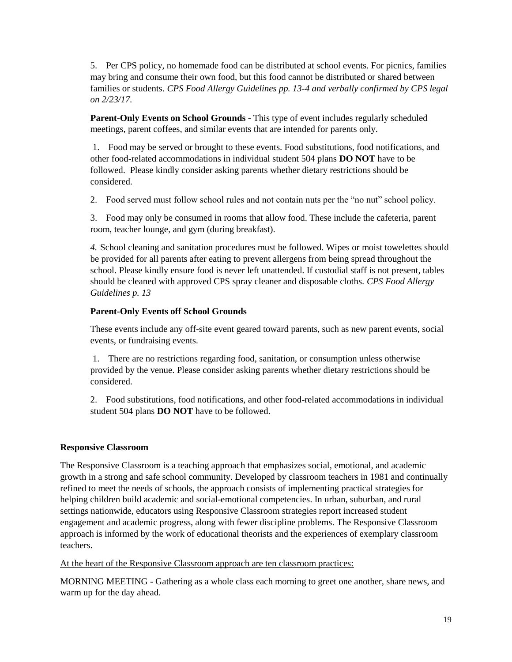5. Per CPS policy, no homemade food can be distributed at school events. For picnics, families may bring and consume their own food, but this food cannot be distributed or shared between families or students. *CPS Food Allergy Guidelines pp. 13-4 and verbally confirmed by CPS legal on 2/23/17.*

**Parent-Only Events on School Grounds -** This type of event includes regularly scheduled meetings, parent coffees, and similar events that are intended for parents only.

1. Food may be served or brought to these events. Food substitutions, food notifications, and other food-related accommodations in individual student 504 plans **DO NOT** have to be followed. Please kindly consider asking parents whether dietary restrictions should be considered.

2. Food served must follow school rules and not contain nuts per the "no nut" school policy.

3. Food may only be consumed in rooms that allow food. These include the cafeteria, parent room, teacher lounge, and gym (during breakfast).

*4.* School cleaning and sanitation procedures must be followed. Wipes or moist towelettes should be provided for all parents after eating to prevent allergens from being spread throughout the school. Please kindly ensure food is never left unattended. If custodial staff is not present, tables should be cleaned with approved CPS spray cleaner and disposable cloths. *CPS Food Allergy Guidelines p. 13*

#### **Parent-Only Events off School Grounds**

These events include any off-site event geared toward parents, such as new parent events, social events, or fundraising events.

1. There are no restrictions regarding food, sanitation, or consumption unless otherwise provided by the venue. Please consider asking parents whether dietary restrictions should be considered.

2. Food substitutions, food notifications, and other food-related accommodations in individual student 504 plans **DO NOT** have to be followed.

#### **Responsive Classroom**

The Responsive Classroom is a teaching approach that emphasizes social, emotional, and academic growth in a strong and safe school community. Developed by classroom teachers in 1981 and continually refined to meet the needs of schools, the approach consists of implementing practical strategies for helping children build academic and social-emotional competencies. In urban, suburban, and rural settings nationwide, educators using Responsive Classroom strategies report increased student engagement and academic progress, along with fewer discipline problems. The Responsive Classroom approach is informed by the work of educational theorists and the experiences of exemplary classroom teachers.

At the heart of the Responsive Classroom approach are ten classroom practices:

MORNING MEETING - Gathering as a whole class each morning to greet one another, share news, and warm up for the day ahead.